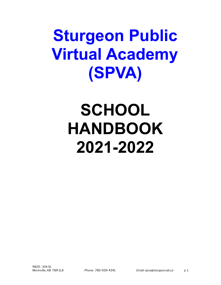# **Sturgeon Public Virtual Academy (SPVA)**

# **SCHOOL HANDBOOK 2021-2022**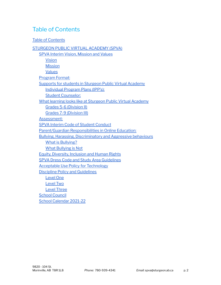## <span id="page-1-0"></span>Table of Contents

#### Table of [Contents](#page-1-0)

[STURGEON](#page-2-0) PUBLIC VIRTUAL ACADEMY (SPVA) SPVA Interim Vision, [Mission](#page-2-1) and Values [Vision](#page-2-2) **[Mission](#page-2-3)** [Values](#page-2-4) [Program](#page-3-0) Format: Supports for students in Sturgeon Public Virtual [Academy](#page-3-1) [Individual](#page-4-0) Program Plans (IPP's): Student [Counselor:](#page-4-1) What learning looks like at Sturgeon Public Virtual [Academy](#page-5-0) Grades 5-6 [\(Division](#page-5-1) II) Grades 7-9 [\(Division](#page-5-2) III) [Assessment:](#page-6-0) SPVA Interim Code of Student [Conduct](#page-6-1) [Parent/Guardian](#page-7-0) Responsibilities in Online Education: Bullying, Harassing, [Discriminatory](#page-9-0) and Aggressive behaviours What is [Bullying?](#page-9-1) What [Bullying](#page-9-2) is Not Equity, [Diversity,](#page-9-3) Inclusion and Human Rights SPVA Dress Code and Study Area [Guidelines](#page-10-0) Acceptable Use Policy for [Technology](#page-10-1) Discipline Policy and [Guidelines](#page-11-0) [Level](#page-11-1) One [Level](#page-12-0) Two Level [Three](#page-12-1) **School [Council](#page-13-0)** School [Calendar](#page-14-0) 2021-22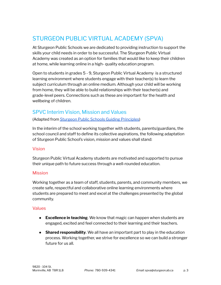## <span id="page-2-0"></span>STURGEON PUBLIC VIRTUAL ACADEMY (SPVA)

At Sturgeon Public Schools we are dedicated to providing instruction to support the skills your child needs in order to be successful. The Sturgeon Public Virtual Academy was created as an option for families that would like to keep their children at home, while learning online in a high- quality education program.

Open to students in grades 5 - 9, Sturgeon Public Virtual Academy is a structured learning environment where students engage with their teacher(s) to learn the subject curriculum through an online medium. Although your child will be working from home, they will be able to build relationships with their teacher(s) and grade-level peers. Connections such as these are important for the health and wellbeing of children.

## <span id="page-2-1"></span>SPVC Interim Vision, Mission and Values

(Adapted from Sturgeon Public Schools Guiding [Principles\)](https://www.sturgeon.ab.ca/Guiding%20Principles.php)

In the interim of the school working together with students, parents/guardians, the school council and staff to define its collective aspirations, the following adaptation of Sturgeon Public School's vision, mission and values shall stand:

#### <span id="page-2-2"></span>Vision

Sturgeon Public Virtual Academy students are motivated and supported to pursue their unique path to future success through a well-rounded education.

#### <span id="page-2-3"></span>**Mission**

Working together as a team of staff, students, parents, and community members, we create safe, respectful and collaborative online learning environments where students are prepared to meet and excel at the challenges presented by the global community.

#### <span id="page-2-4"></span>**Values**

- **Excellence in teaching**. We know that magic can happen when students are engaged, excited and feel connected to their learning and their teachers.
- **Shared responsibility**. We all have an important part to play in the education process. Working together, we strive for excellence so we can build a stronger future for us all.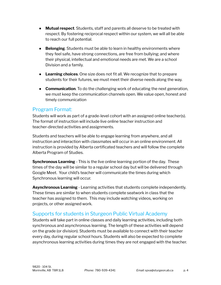- **Mutual respect**. Students, staff and parents all deserve to be treated with respect. By fostering reciprocal respect within our system, we will all be able to reach our full potential.
- **Belonging**. Students must be able to learn in healthy environments where they feel safe, have strong connections, are free from bullying; and where their physical, intellectual and emotional needs are met. We are a school Division and a family.
- **Learning choices**. One size does not fit all. We recognize that to prepare students for their futures, we must meet their diverse needs along the way.
- **Communication**. To do the challenging work of educating the next generation, we must keep the communication channels open. We value open, honest and timely communication

## <span id="page-3-0"></span>Program Format:

Students will work as part of a grade-level cohort with an assigned online teacher(s). The format of instruction will include live online teacher instruction and teacher-directed activities and assignments.

Students and teachers will be able to engage learning from anywhere, and all instruction and interaction with classmates will occur in an online environment. All instruction is provided by Alberta certificated teachers and will follow the complete Alberta Program of Studies.

**Synchronous Learning** - This is the live online learning portion of the day. These times of the day will be similar to a regular school day but will be delivered through Google Meet. Your child's teacher will communicate the times during which Synchronous learning will occur.

**Asynchronous Learning** - Learning activities that students complete independently. These times are similar to when students complete seatwork in class that the teacher has assigned to them. This may include watching videos, working on projects, or other assigned work.

## <span id="page-3-1"></span>Supports for students in Sturgeon Public Virtual Academy

Students will take part in online classes and daily learning activities, including both synchronous and asynchronous learning. The length of these activities will depend on the grade (or division). Students must be available to connect with their teacher every day, during regular school hours. Students will also be expected to complete asynchronous learning activities during times they are not engaged with the teacher.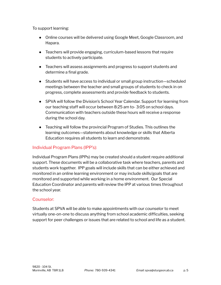To support learning:

- Online courses will be delivered using Google Meet, Google Classroom, and Hapara.
- Teachers will provide engaging, curriculum-based lessons that require students to actively participate.
- Teachers will assess assignments and progress to support students and determine a final grade.
- Students will have access to individual or small group instruction—scheduled meetings between the teacher and small groups of students to check in on progress, complete assessments and provide feedback to students.
- SPVA will follow the Division's School Year Calendar. Support for learning from our teaching staff will occur between 8:25 am to- 3:05 on school days. Communication with teachers outside these hours will receive a response during the school day.
- Teaching will follow the provincial Program of Studies. This outlines the learning outcomes—statements about knowledge or skills that Alberta Education requires all students to learn and demonstrate.

#### <span id="page-4-0"></span>Individual Program Plans (IPP's):

Individual Program Plans (IPPs) may be created should a student require additional support. These documents will be a collaborative task where teachers, parents and students work together. IPP goals will include skills that can be either achieved and monitored in an online learning environment or may include skills/goals that are monitored and supported while working in a home environment. Our Special Education Coordinator and parents will review the IPP at various times throughout the school year.

#### <span id="page-4-1"></span>Counselor:

Students at SPVA will be able to make appointments with our counselor to meet virtually one-on-one to discuss anything from school academic difficulties, seeking support for peer challenges or issues that are related to school and life as a student.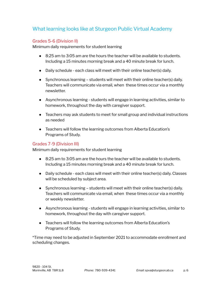## <span id="page-5-0"></span>What learning looks like at Sturgeon Public Virtual Academy

#### <span id="page-5-1"></span>Grades 5-6 (Division II)

Minimum daily requirements for student learning

- $\bullet$  8:25 am to 3:05 am are the hours the teacher will be available to students. Including a 15 minutes morning break and a 40 minute break for lunch.
- Daily schedule each class will meet with their online teacher(s) daily.
- Synchronous learning students will meet with their online teacher(s) daily. Teachers will communicate via email, when these times occur via a monthly newsletter.
- Asynchronous learning students will engage in learning activities, similar to homework, throughout the day with caregiver support.
- Teachers may ask students to meet for small group and individual instructions as needed
- Teachers will follow the learning outcomes from Alberta Education's Programs of Study.

#### <span id="page-5-2"></span>Grades 7-9 (Division III)

Minimum daily requirements for student learning

- 8:25 am to 3:05 am are the hours the teacher will be available to students. Including a 15 minutes morning break and a 40 minute break for lunch.
- Daily schedule each class will meet with their online teacher(s) daily. Classes will be scheduled by subject area.
- Synchronous learning students will meet with their online teacher(s) daily. Teachers will communicate via email, when these times occur via a monthly or weekly newsletter.
- Asynchronous learning students will engage in learning activities, similar to homework, throughout the day with caregiver support.
- Teachers will follow the learning outcomes from Alberta Education's Programs of Study.

\*Time may need to be adjusted in September 2021 to accommodate enrollment and scheduling changes.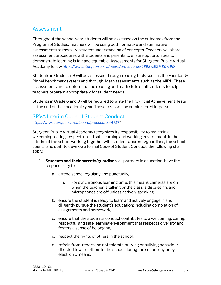## <span id="page-6-0"></span>Assessment:

Throughout the school year, students will be assessed on the outcomes from the Program of Studies. Teachers will be using both formative and summative assessments to measure student understanding of concepts. Teachers will share assessment procedures with students and parents to ensure opportunities to demonstrate learning is fair and equitable. Assessments for Sturgeon Public Virtual Academy follow *<https://www.sturgeon.ab.ca/board/procedures/4693%E2%80%9D>*

Students in Grades 5-9 will be assessed through reading tools such as the Fountas & Pinnel benchmark system and through Math assessments such as the MIPI. These assessments are to determine the reading and math skills of all students to help teachers program appropriately for student needs.

Students in Grade 6 and 9 will be required to write the Provincial Achievement Tests at the end of their academic year. These tests will be administered in-person.

## <span id="page-6-1"></span>SPVA Interim Code of Student Conduct

*<https://www.sturgeon.ab.ca/board/procedures/4717>"*

Sturgeon Public Virtual Academy recognizes its responsibility to maintain a welcoming, caring, respectful and safe learning and working environment. In the interim of the school working together with students, parents/guardians, the school council and staff to develop a formal Code of Student Conduct, the following shall apply:

- 1. **Students and their parents/guardians**, as partners in education, have the responsibility to:
	- a. attend school regularly and punctually,
		- i. For synchronous learning time, this means cameras are on when the teacher is talking or the class is discussing, and microphones are off unless actively speaking.
	- b. ensure the student is ready to learn and actively engage in and diligently pursue the student's education; including completion of assignments and homework,
	- c. ensure that the student's conduct contributes to a welcoming, caring, respectful and safe learning environment that respects diversity and fosters a sense of belonging,
	- d. respect the rights of others in the school,
	- e. refrain from, report and not tolerate bullying or bullying behaviour directed toward others in the school during the school day or by electronic means,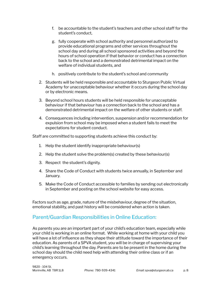- f. be accountable to the student's teachers and other school staff for the student's conduct,
- g. fully cooperate with school authority and personnel authorized to provide educational programs and other services throughout the school day and during all school sponsored activities and beyond the hours of school operation if that behavior or conduct has a connection back to the school and a demonstrated detrimental impact on the welfare of individual students, and
- h. positively contribute to the student's school and community
- 2. Students will be held responsible and accountable to Sturgeon Public Virtual Academy for unacceptable behaviour whether it occurs during the school day or by electronic means.
- 3. Beyond school hours students will be held responsible for unacceptable behaviour if that behaviour has a connection back to the school and has a demonstrated detrimental impact on the welfare of other students or staff.
- 4. Consequences including intervention, suspension and/or recommendation for expulsion from school may be imposed when a student fails to meet the expectations for student conduct.

Staff are committed to supporting students achieve this conduct by:

- 1. Help the student identify inappropriate behaviour(s)
- 2. Help the student solve the problem(s) created by these behaviour(s)
- 3. Respect the student's dignity.
- 4. Share the Code of Conduct with students twice annually, in September and January.
- 5. Make the Code of Conduct accessible to families by sending out electronically in September and posting on the school website for easy access.

Factors such as age, grade, nature of the misbehaviour, degree of the situation, emotional stability, and past history will be considered when action is taken.

## <span id="page-7-0"></span>Parent/Guardian Responsibilities in Online Education:

As parents you are an important part of your child's education team, especially while your child is working in an online format. While working at home with your child you will have a lot of influence as they shape their attitude toward the importance of their education. As parents of a SPVA student, you will be in charge of supervising your child's learning throughout the day. Parents are to be present in the home during the school day should the child need help with attending their online class or if an emergency occurs.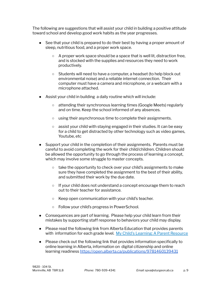The following are suggestions that will assist your child in building a positive attitude toward school and develop good work habits as the year progresses.

- See that your child is prepared to do their best by having a proper amount of sleep, nutritious food, and a proper work space.
	- $\circ$  A proper work space should be a space that is well lit, distraction free, and is stocked with the supplies and resources they need to work productively.
	- Students will need to have a computer, a headset (to help block out environmental noise) and a reliable internet connection. Their computer must have a camera and microphone, or a webcam with a microphone attached.
- Assist your child in building a daily routine which will include:
	- attending their synchronous learning times (Google Meets) regularly and on time. Keep the school informed of any absences.
	- using their asynchronous time to complete their assignments.
	- assist your child with staying engaged in their studies. It can be easy for a child to get distracted by other technology such as video games, Youtube, etc
- Support your child in the completion of their assignments. Parents must be careful to avoid completing the work for their child/children. Children should be allowed the opportunity to go through the process of learning a concept, which may involve some struggle to master concepts.
	- take the opportunity to check over your child's assignments to make sure they have completed the assignment to the best of their ability, and submitted their work by the due date.
	- $\circ$  If your child does not understand a concept encourage them to reach out to their teacher for assistance.
	- Keep open communication with your child's teacher.
	- Follow your child's progress in PowerSchool.
- Consequences are part of learning. Please help your child learn from their mistakes by supporting staff response to behaviors your child may display.
- Please read the following link from Alberta Education that provides parents with information for each grade level. My Child's Learning: A Parent [Resource](https://www.learnalberta.ca/content/mychildslearning/)
- Please check out the following link that provides information specifically to online learning in Alberta, information on digital citizenship and online learning readiness <https://open.alberta.ca/publications/9781460139431>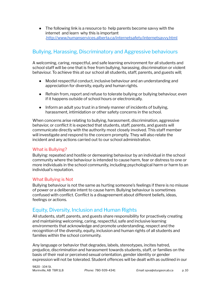• The following link is a resource to help parents become savvy with the internet and learn why this is important [.http://www.humanservices.alberta.ca/internetsafety/internetsavvy.html](http://www.humanservices.alberta.ca/internetsafety/internetsavvy.html)

## <span id="page-9-0"></span>Bullying, Harassing, Discriminatory and Aggressive behaviours

A welcoming, caring, respectful, and safe learning environment for all students and school staff will be one that is free from bullying, harassing, discrimination or violent behaviour. To achieve this at our school all students, staff, parents, and guests will;

- Model respectful conduct, inclusive behaviour and an understanding and appreciation for diversity, equity and human rights.
- Refrain from, report and refuse to tolerate bullying or bullying behaviour, even if it happens outside of school hours or electronically.
- Inform an adult you trust in a timely manner of incidents of bullying, harassment, intimidation or other safety concerns in the school.

When concerns arise relating to bullying, harassment, discrimination, aggressive behavior, or conflict it is expected that students, staff, parents, and guests will communicate directly with the authority most closely involved. This staff member will investigate and respond to the concern promptly. They will also relate the incident and any actions carried out to our school administration.

#### <span id="page-9-1"></span>What is Bullying?

Bullying: repeated and hostile or demeaning behaviour by an individual in the school community where the behaviour is intended to cause harm, fear or distress to one or more individuals in the school community, including psychological harm or harm to an individual's reputation.

#### <span id="page-9-2"></span>What Bullying is Not

Bullying behaviour is not the same as hurting someone's feelings if there is no misuse of power or a deliberate intent to cause harm. Bullying behaviour is sometimes confused with conflict. Conflict is a disagreement about different beliefs, ideas, feelings or actions.

## <span id="page-9-3"></span>Equity, Diversity, Inclusion and Human Rights

All students, staff, parents, and guests share responsibility for proactively creating and maintaining welcoming, caring, respectful, safe and inclusive learning environments that acknowledge and promote understanding, respect and the recognition of the diversity, equity, inclusion and human rights of all students and families within the school community.

Any language or behavior that degrades, labels, stereotypes, incites hatred, prejudice, discrimination and harassment towards students, staff, or families on the basis of their real or perceived sexual orientation, gender identity or gender expression will not be tolerated. Student offences will be dealt with as outlined in our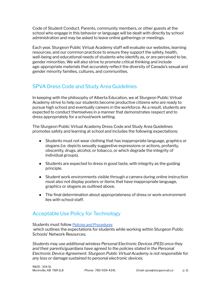Code of Student Conduct. Parents, community members, or other guests at the school who engage in this behavior or language will be dealt with directly by school administration and may be asked to leave online gatherings or meetings.

Each year, Sturgeon Public Virtual Academy staff will evaluate our websites, learning resources, and our common practices to ensure they support the safety, health, well-being and educational needs of students who identify as, or are perceived to be, gender minorities. We will also strive to promote critical thinking and include age-appropriate materials that accurately reflect the diversity of Canada's sexual and gender minority families, cultures, and communities.

## <span id="page-10-0"></span>SPVA Dress Code and Study Area Guidelines

In keeping with the philosophy of Alberta Education, we at Sturgeon Public Virtual Academy strive to help our students become productive citizens who are ready to pursue high school and eventually careers in the workforce. As a result, students are expected to conduct themselves in a manner that demonstrates respect and to dress appropriately for a school/work setting.

The Sturgeon Public Virtual Academy Dress Code and Study Area Guidelines promotes safety and learning at school and includes the following expectations:

- Students must not wear clothing that has inappropriate language, graphics or slogans (i.e. depicts sexually suggestive expressions or actions, profanity, obscenity, drugs, alcohol, or tobacco, or which degrade the integrity of individual groups).
- Students are expected to dress in good taste, with integrity as the guiding principle.
- Student work environments visible through a camera during online instruction must also not display posters or items that have inappropriate language, graphics or slogans as outlined above.
- The final determination about appropriateness of dress or work environment lies with school staff.

## <span id="page-10-1"></span>Acceptable Use Policy for Technology

#### Students must follow *Policies and [Procedures](https://www.sturgeon.ab.ca/board/procedures/4626)*

which outlines the expectations for students while working within Sturgeon Public Schools' Network Resources.

*Students may use additional wireless Personal Electronic Devices (PED) once they and their parents/guardians have agreed to the policies stated in the Personal Electronic Device Agreement. Sturgeon Public Virtual Academy is not responsible for any loss or damage sustained to personal electronic devices.*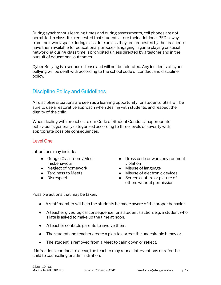During synchronous learning times and during assessments, cell phones are not permitted in class. It is requested that students store their additional PEDs away from their work space during class time unless they are requested by the teacher to have them available for educational purposes. Engaging in game playing or social networking during class time is prohibited unless directed by a teacher and in the pursuit of educational outcomes.

Cyber Bullying is a serious offense and will not be tolerated. Any incidents of cyber bullying will be dealt with according to the school code of conduct and discipline policy.

## <span id="page-11-0"></span>Discipline Policy and Guidelines

All discipline situations are seen as a learning opportunity for students. Staff will be sure to use a restorative approach when dealing with students, and respect the dignity of the child.

When dealing with breaches to our Code of Student Conduct, inappropriate behaviour is generally categorized according to three levels of severity with appropriate possible consequences.

#### <span id="page-11-1"></span>Level One

Infractions may include:

- Google Classroom / Meet misbehaviour
- Neglect of homework
- Tardiness to Meets
- Disrespect
- Dress code or work environment violation
- Misuse of language
- Misuse of electronic devices
- Screen capture or picture of others without permission.

Possible actions that may be taken:

- A staff member will help the students be made aware of the proper behavior.
- A teacher gives logical consequence for a student's action, e.g. a student who is late is asked to make up the time at noon.
- A teacher contacts parents to involve them.
- The student and teacher create a plan to correct the undesirable behavior.
- The student is removed from a Meet to calm down or reflect.

If infractions continue to occur, the teacher may repeat interventions or refer the child to counselling or administration.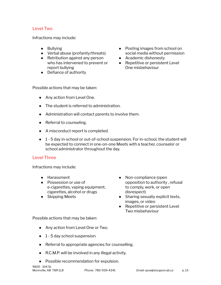#### <span id="page-12-0"></span>Level Two

Infractions may include:

- Bullying
- Verbal abuse (profanity/threats)
- Retribution against any person who has intervened to prevent or report bullying
- Defiance of authority
- Posting images from school on social media without permission
- Academic dishonesty
- Repetitive or persistent Level One misbehaviour

Possible actions that may be taken:

- Any action from Level One.
- The student is referred to administration.
- Administration will contact parents to involve them.
- Referral to counseling.
- A misconduct report is completed.
- 1 5 day in-school or out-of-school suspension. For in-school, the student will be expected to connect in one-on-one Meets with a teacher, counselor or school administrator throughout the day.

#### <span id="page-12-1"></span>Level Three

Infractions may include:

- Harassment
- Possession or use of e-cigarettes, vaping equipment, cigarettes, alcohol or drugs
- Skipping Meets
- Non-compliance (open opposition to authority , refusal to comply, work, or open disrespect)
- Sharing sexualiy explicit texts, images, or video
- Repetitive or persistent Level Two misbehaviour

Possible actions that may be taken:

- Any action from Level One or Two.
- 1 5 day school suspension.
- Referral to appropriate agencies for counselling.
- R.C.M.P. will be involved in any illegal activity.
- Possible recommendation for expulsion.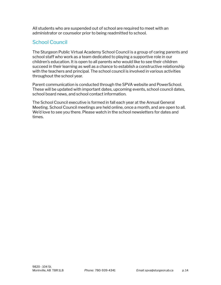All students who are suspended out of school are required to meet with an administrator or counselor prior to being readmitted to school.

## <span id="page-13-0"></span>School Council

The Sturgeon Public Virtual Academy School Council is a group of caring parents and school staff who work as a team dedicated to playing a supportive role in our children's education. It is open to all parents who would like to see their children succeed in their learning as well as a chance to establish a constructive relationship with the teachers and principal. The school council is involved in various activities throughout the school year.

Parent communication is conducted through the SPVA website and PowerSchool. These will be updated with important dates, upcoming events, school council dates, school board news, and school contact information.

The School Council executive is formed in fall each year at the Annual General Meeting. School Council meetings are held online, once a month, and are open to all. We'd love to see you there. Please watch in the school newsletters for dates and times.